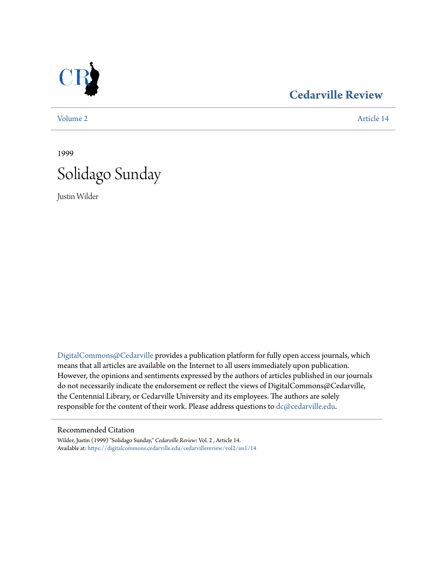

## **[Cedarville Review](https://digitalcommons.cedarville.edu/cedarvillereview?utm_source=digitalcommons.cedarville.edu%2Fcedarvillereview%2Fvol2%2Fiss1%2F14&utm_medium=PDF&utm_campaign=PDFCoverPages)**

[Volume 2](https://digitalcommons.cedarville.edu/cedarvillereview/vol2?utm_source=digitalcommons.cedarville.edu%2Fcedarvillereview%2Fvol2%2Fiss1%2F14&utm_medium=PDF&utm_campaign=PDFCoverPages) [Article 14](https://digitalcommons.cedarville.edu/cedarvillereview/vol2/iss1/14?utm_source=digitalcommons.cedarville.edu%2Fcedarvillereview%2Fvol2%2Fiss1%2F14&utm_medium=PDF&utm_campaign=PDFCoverPages)

1999



Justin Wilder

[DigitalCommons@Cedarville](http://digitalcommons.cedarville.edu) provides a publication platform for fully open access journals, which means that all articles are available on the Internet to all users immediately upon publication. However, the opinions and sentiments expressed by the authors of articles published in our journals do not necessarily indicate the endorsement or reflect the views of DigitalCommons@Cedarville, the Centennial Library, or Cedarville University and its employees. The authors are solely responsible for the content of their work. Please address questions to [dc@cedarville.edu](mailto:dc@cedarville.edu).

#### Recommended Citation

Wilder, Justin (1999) "Solidago Sunday," *Cedarville Review*: Vol. 2 , Article 14. Available at: [https://digitalcommons.cedarville.edu/cedarvillereview/vol2/iss1/14](https://digitalcommons.cedarville.edu/cedarvillereview/vol2/iss1/14?utm_source=digitalcommons.cedarville.edu%2Fcedarvillereview%2Fvol2%2Fiss1%2F14&utm_medium=PDF&utm_campaign=PDFCoverPages)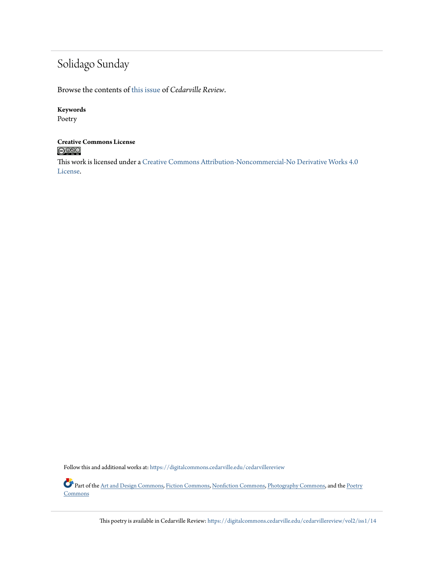# Solidago Sunday

Browse the contents of [this issue](https://digitalcommons.cedarville.edu/cedarvillereview/vol2/iss1) of *Cedarville Review*.

#### **Keywords**

Poetry

#### **Creative Commons License**  $\bigcirc$   $\circ$

This work is licensed under a [Creative Commons Attribution-Noncommercial-No Derivative Works 4.0](http://creativecommons.org/licenses/by-nc-nd/4.0/) [License.](http://creativecommons.org/licenses/by-nc-nd/4.0/)

Follow this and additional works at: [https://digitalcommons.cedarville.edu/cedarvillereview](https://digitalcommons.cedarville.edu/cedarvillereview?utm_source=digitalcommons.cedarville.edu%2Fcedarvillereview%2Fvol2%2Fiss1%2F14&utm_medium=PDF&utm_campaign=PDFCoverPages)

Part of the [Art and Design Commons,](http://network.bepress.com/hgg/discipline/1049?utm_source=digitalcommons.cedarville.edu%2Fcedarvillereview%2Fvol2%2Fiss1%2F14&utm_medium=PDF&utm_campaign=PDFCoverPages) [Fiction Commons,](http://network.bepress.com/hgg/discipline/1151?utm_source=digitalcommons.cedarville.edu%2Fcedarvillereview%2Fvol2%2Fiss1%2F14&utm_medium=PDF&utm_campaign=PDFCoverPages) [Nonfiction Commons,](http://network.bepress.com/hgg/discipline/1152?utm_source=digitalcommons.cedarville.edu%2Fcedarvillereview%2Fvol2%2Fiss1%2F14&utm_medium=PDF&utm_campaign=PDFCoverPages) [Photography Commons,](http://network.bepress.com/hgg/discipline/1142?utm_source=digitalcommons.cedarville.edu%2Fcedarvillereview%2Fvol2%2Fiss1%2F14&utm_medium=PDF&utm_campaign=PDFCoverPages) and the [Poetry](http://network.bepress.com/hgg/discipline/1153?utm_source=digitalcommons.cedarville.edu%2Fcedarvillereview%2Fvol2%2Fiss1%2F14&utm_medium=PDF&utm_campaign=PDFCoverPages) **[Commons](http://network.bepress.com/hgg/discipline/1153?utm_source=digitalcommons.cedarville.edu%2Fcedarvillereview%2Fvol2%2Fiss1%2F14&utm_medium=PDF&utm_campaign=PDFCoverPages)** 

This poetry is available in Cedarville Review: [https://digitalcommons.cedarville.edu/cedarvillereview/vol2/iss1/14](https://digitalcommons.cedarville.edu/cedarvillereview/vol2/iss1/14?utm_source=digitalcommons.cedarville.edu%2Fcedarvillereview%2Fvol2%2Fiss1%2F14&utm_medium=PDF&utm_campaign=PDFCoverPages)